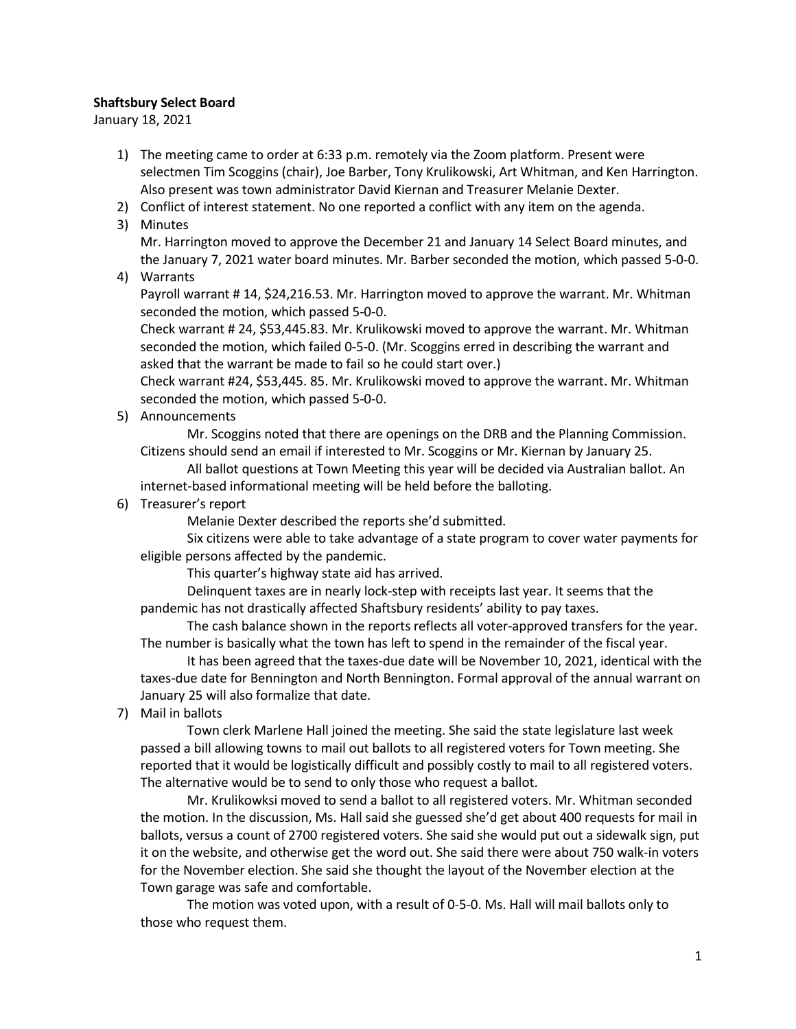## Shaftsbury Select Board

January 18, 2021

- 1) The meeting came to order at 6:33 p.m. remotely via the Zoom platform. Present were selectmen Tim Scoggins (chair), Joe Barber, Tony Krulikowski, Art Whitman, and Ken Harrington. Also present was town administrator David Kiernan and Treasurer Melanie Dexter.
- 2) Conflict of interest statement. No one reported a conflict with any item on the agenda.
- 3) Minutes

Mr. Harrington moved to approve the December 21 and January 14 Select Board minutes, and the January 7, 2021 water board minutes. Mr. Barber seconded the motion, which passed 5-0-0.

4) Warrants

Payroll warrant # 14, \$24,216.53. Mr. Harrington moved to approve the warrant. Mr. Whitman seconded the motion, which passed 5-0-0.

Check warrant # 24, \$53,445.83. Mr. Krulikowski moved to approve the warrant. Mr. Whitman seconded the motion, which failed 0-5-0. (Mr. Scoggins erred in describing the warrant and asked that the warrant be made to fail so he could start over.)

Check warrant #24, \$53,445. 85. Mr. Krulikowski moved to approve the warrant. Mr. Whitman seconded the motion, which passed 5-0-0.

5) Announcements

Mr. Scoggins noted that there are openings on the DRB and the Planning Commission. Citizens should send an email if interested to Mr. Scoggins or Mr. Kiernan by January 25.

All ballot questions at Town Meeting this year will be decided via Australian ballot. An internet-based informational meeting will be held before the balloting.

6) Treasurer's report

Melanie Dexter described the reports she'd submitted.

Six citizens were able to take advantage of a state program to cover water payments for eligible persons affected by the pandemic.

This quarter's highway state aid has arrived.

Delinquent taxes are in nearly lock-step with receipts last year. It seems that the pandemic has not drastically affected Shaftsbury residents' ability to pay taxes.

The cash balance shown in the reports reflects all voter-approved transfers for the year. The number is basically what the town has left to spend in the remainder of the fiscal year.

It has been agreed that the taxes-due date will be November 10, 2021, identical with the taxes-due date for Bennington and North Bennington. Formal approval of the annual warrant on January 25 will also formalize that date.

7) Mail in ballots

Town clerk Marlene Hall joined the meeting. She said the state legislature last week passed a bill allowing towns to mail out ballots to all registered voters for Town meeting. She reported that it would be logistically difficult and possibly costly to mail to all registered voters. The alternative would be to send to only those who request a ballot.

Mr. Krulikowksi moved to send a ballot to all registered voters. Mr. Whitman seconded the motion. In the discussion, Ms. Hall said she guessed she'd get about 400 requests for mail in ballots, versus a count of 2700 registered voters. She said she would put out a sidewalk sign, put it on the website, and otherwise get the word out. She said there were about 750 walk-in voters for the November election. She said she thought the layout of the November election at the Town garage was safe and comfortable.

The motion was voted upon, with a result of 0-5-0. Ms. Hall will mail ballots only to those who request them.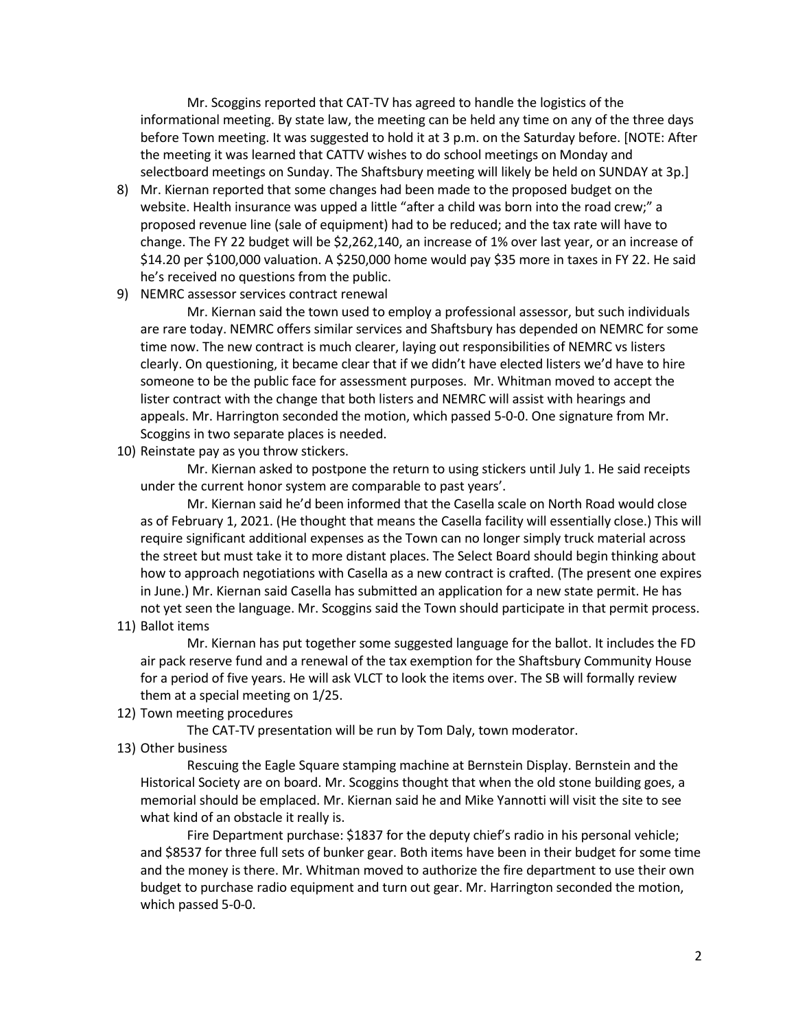Mr. Scoggins reported that CAT-TV has agreed to handle the logistics of the informational meeting. By state law, the meeting can be held any time on any of the three days before Town meeting. It was suggested to hold it at 3 p.m. on the Saturday before. [NOTE: After the meeting it was learned that CATTV wishes to do school meetings on Monday and selectboard meetings on Sunday. The Shaftsbury meeting will likely be held on SUNDAY at 3p.]

- 8) Mr. Kiernan reported that some changes had been made to the proposed budget on the website. Health insurance was upped a little "after a child was born into the road crew;" a proposed revenue line (sale of equipment) had to be reduced; and the tax rate will have to change. The FY 22 budget will be \$2,262,140, an increase of 1% over last year, or an increase of \$14.20 per \$100,000 valuation. A \$250,000 home would pay \$35 more in taxes in FY 22. He said he's received no questions from the public.
- 9) NEMRC assessor services contract renewal

Mr. Kiernan said the town used to employ a professional assessor, but such individuals are rare today. NEMRC offers similar services and Shaftsbury has depended on NEMRC for some time now. The new contract is much clearer, laying out responsibilities of NEMRC vs listers clearly. On questioning, it became clear that if we didn't have elected listers we'd have to hire someone to be the public face for assessment purposes. Mr. Whitman moved to accept the lister contract with the change that both listers and NEMRC will assist with hearings and appeals. Mr. Harrington seconded the motion, which passed 5-0-0. One signature from Mr. Scoggins in two separate places is needed.

10) Reinstate pay as you throw stickers.

Mr. Kiernan asked to postpone the return to using stickers until July 1. He said receipts under the current honor system are comparable to past years'.

Mr. Kiernan said he'd been informed that the Casella scale on North Road would close as of February 1, 2021. (He thought that means the Casella facility will essentially close.) This will require significant additional expenses as the Town can no longer simply truck material across the street but must take it to more distant places. The Select Board should begin thinking about how to approach negotiations with Casella as a new contract is crafted. (The present one expires in June.) Mr. Kiernan said Casella has submitted an application for a new state permit. He has not yet seen the language. Mr. Scoggins said the Town should participate in that permit process.

11) Ballot items

Mr. Kiernan has put together some suggested language for the ballot. It includes the FD air pack reserve fund and a renewal of the tax exemption for the Shaftsbury Community House for a period of five years. He will ask VLCT to look the items over. The SB will formally review them at a special meeting on 1/25.

12) Town meeting procedures

The CAT-TV presentation will be run by Tom Daly, town moderator.

13) Other business

Rescuing the Eagle Square stamping machine at Bernstein Display. Bernstein and the Historical Society are on board. Mr. Scoggins thought that when the old stone building goes, a memorial should be emplaced. Mr. Kiernan said he and Mike Yannotti will visit the site to see what kind of an obstacle it really is.

Fire Department purchase: \$1837 for the deputy chief's radio in his personal vehicle; and \$8537 for three full sets of bunker gear. Both items have been in their budget for some time and the money is there. Mr. Whitman moved to authorize the fire department to use their own budget to purchase radio equipment and turn out gear. Mr. Harrington seconded the motion, which passed 5-0-0.